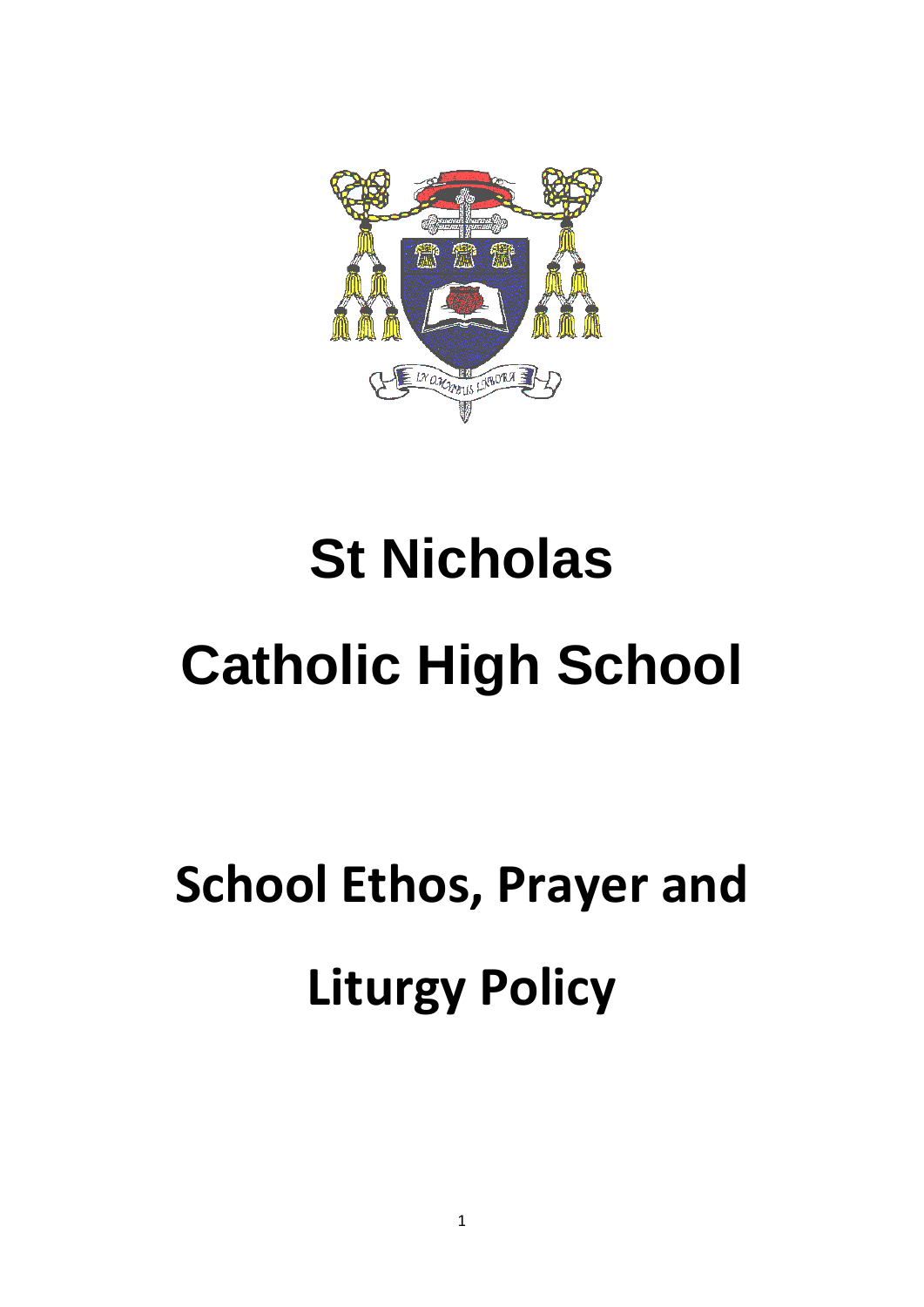

# **St Nicholas Catholic High School**

# **School Ethos, Prayer and Liturgy Policy**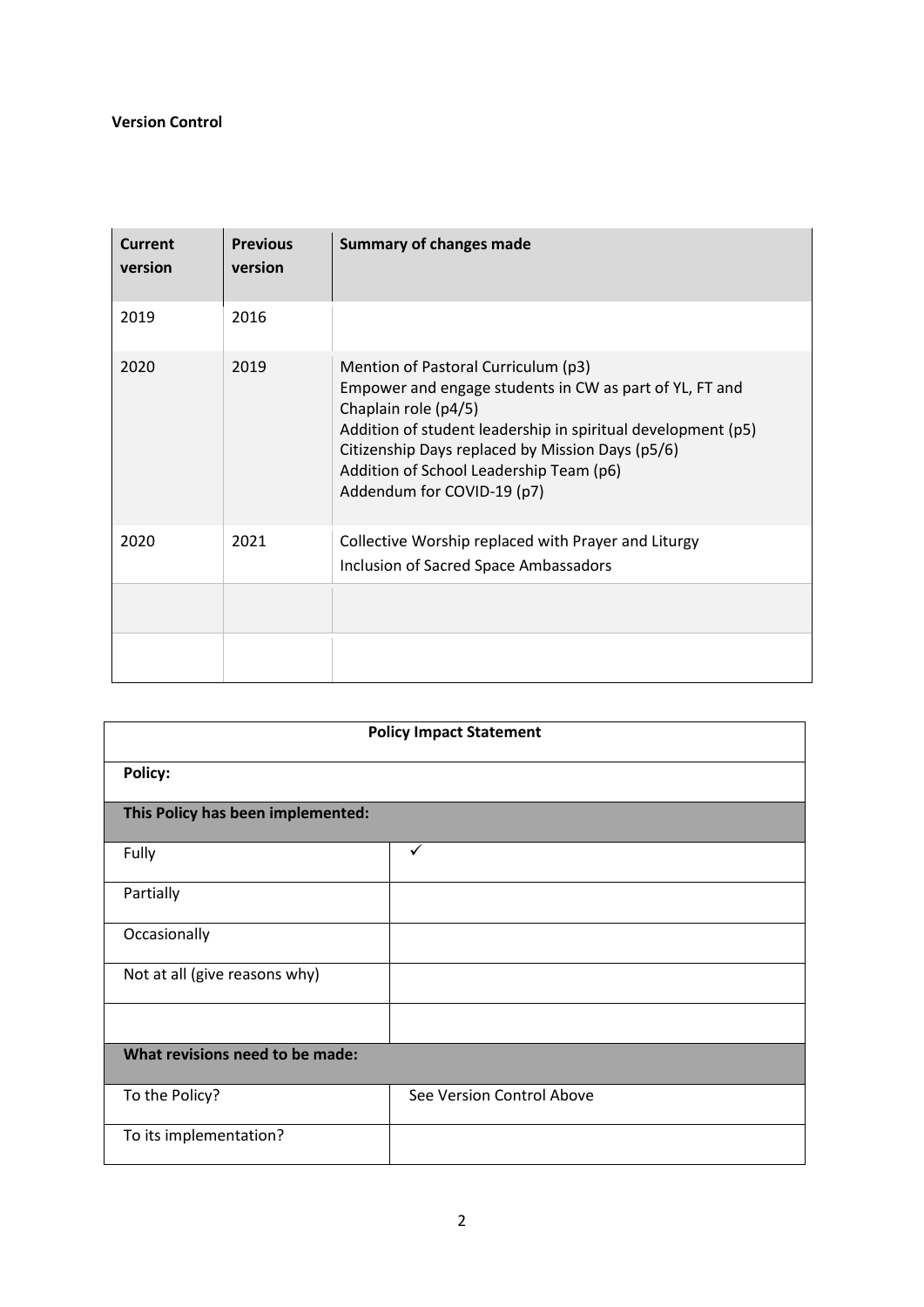#### **Version Control**

| Current<br>version | <b>Previous</b><br>version | <b>Summary of changes made</b>                                                                                                                                                                                                                                                                                      |
|--------------------|----------------------------|---------------------------------------------------------------------------------------------------------------------------------------------------------------------------------------------------------------------------------------------------------------------------------------------------------------------|
| 2019               | 2016                       |                                                                                                                                                                                                                                                                                                                     |
| 2020               | 2019                       | Mention of Pastoral Curriculum (p3)<br>Empower and engage students in CW as part of YL, FT and<br>Chaplain role (p4/5)<br>Addition of student leadership in spiritual development (p5)<br>Citizenship Days replaced by Mission Days (p5/6)<br>Addition of School Leadership Team (p6)<br>Addendum for COVID-19 (p7) |
| 2020               | 2021                       | Collective Worship replaced with Prayer and Liturgy<br><b>Inclusion of Sacred Space Ambassadors</b>                                                                                                                                                                                                                 |
|                    |                            |                                                                                                                                                                                                                                                                                                                     |
|                    |                            |                                                                                                                                                                                                                                                                                                                     |

| <b>Policy Impact Statement</b>    |                           |  |  |  |
|-----------------------------------|---------------------------|--|--|--|
| <b>Policy:</b>                    |                           |  |  |  |
| This Policy has been implemented: |                           |  |  |  |
| Fully                             | ✓                         |  |  |  |
| Partially                         |                           |  |  |  |
| Occasionally                      |                           |  |  |  |
| Not at all (give reasons why)     |                           |  |  |  |
|                                   |                           |  |  |  |
| What revisions need to be made:   |                           |  |  |  |
| To the Policy?                    | See Version Control Above |  |  |  |
| To its implementation?            |                           |  |  |  |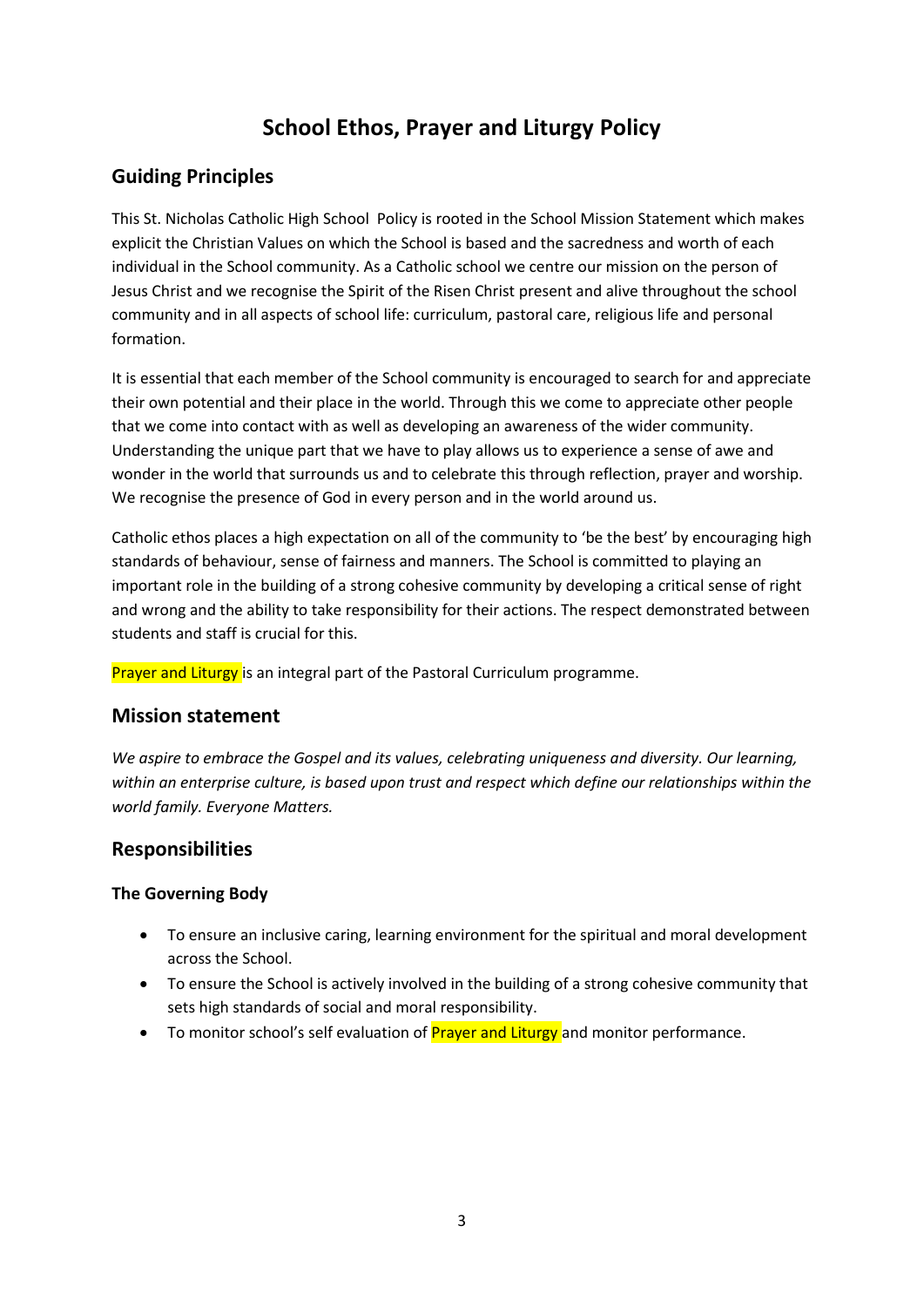## **School Ethos, Prayer and Liturgy Policy**

## **Guiding Principles**

This St. Nicholas Catholic High School Policy is rooted in the School Mission Statement which makes explicit the Christian Values on which the School is based and the sacredness and worth of each individual in the School community. As a Catholic school we centre our mission on the person of Jesus Christ and we recognise the Spirit of the Risen Christ present and alive throughout the school community and in all aspects of school life: curriculum, pastoral care, religious life and personal formation.

It is essential that each member of the School community is encouraged to search for and appreciate their own potential and their place in the world. Through this we come to appreciate other people that we come into contact with as well as developing an awareness of the wider community. Understanding the unique part that we have to play allows us to experience a sense of awe and wonder in the world that surrounds us and to celebrate this through reflection, prayer and worship. We recognise the presence of God in every person and in the world around us.

Catholic ethos places a high expectation on all of the community to 'be the best' by encouraging high standards of behaviour, sense of fairness and manners. The School is committed to playing an important role in the building of a strong cohesive community by developing a critical sense of right and wrong and the ability to take responsibility for their actions. The respect demonstrated between students and staff is crucial for this.

Prayer and Liturgy is an integral part of the Pastoral Curriculum programme.

### **Mission statement**

*We aspire to embrace the Gospel and its values, celebrating uniqueness and diversity. Our learning, within an enterprise culture, is based upon trust and respect which define our relationships within the world family. Everyone Matters.*

### **Responsibilities**

#### **The Governing Body**

- To ensure an inclusive caring, learning environment for the spiritual and moral development across the School.
- To ensure the School is actively involved in the building of a strong cohesive community that sets high standards of social and moral responsibility.
- To monitor school's self evaluation of **Prayer and Liturgy** and monitor performance.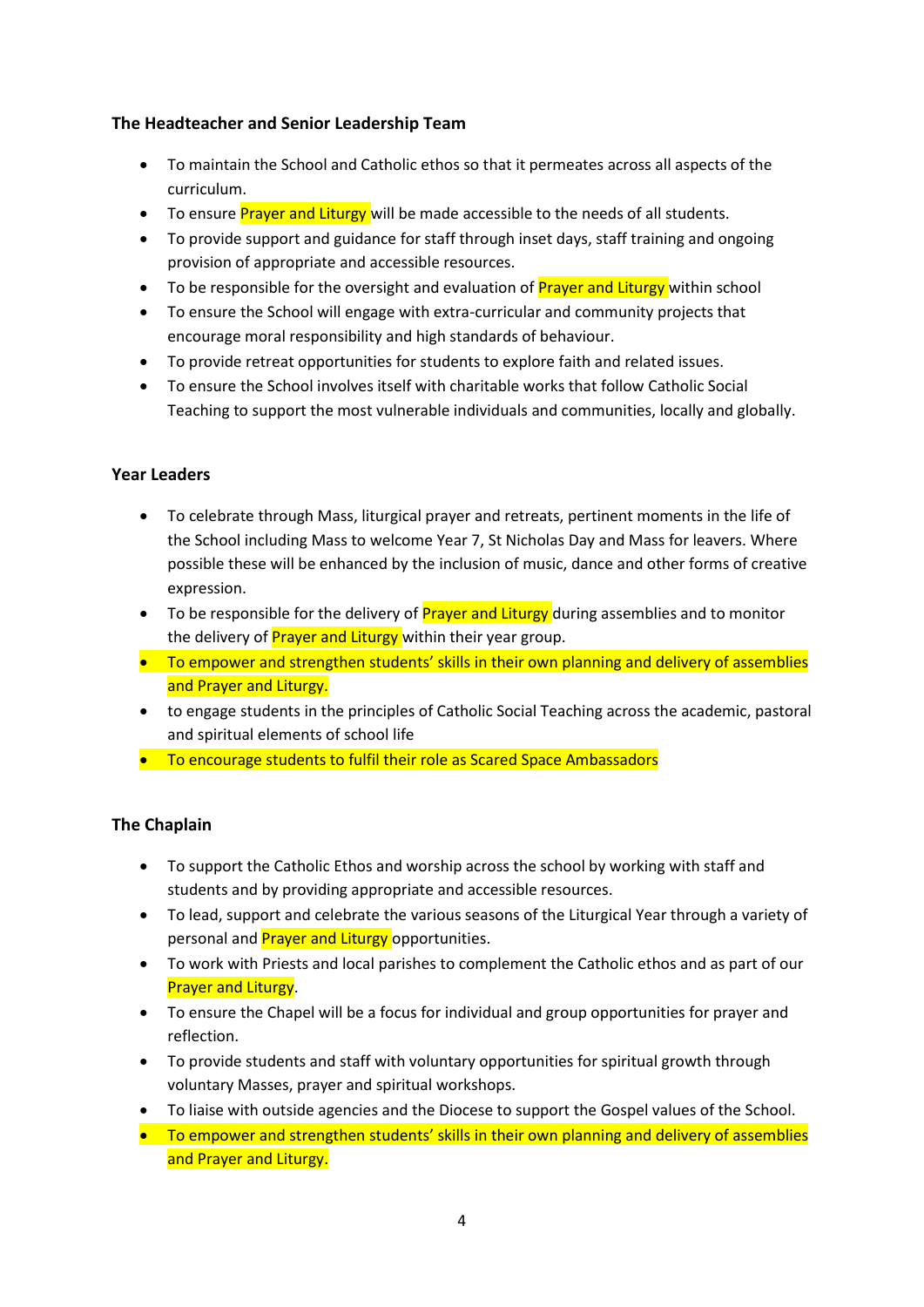#### **The Headteacher and Senior Leadership Team**

- To maintain the School and Catholic ethos so that it permeates across all aspects of the curriculum.
- To ensure **Prayer and Liturgy** will be made accessible to the needs of all students.
- To provide support and guidance for staff through inset days, staff training and ongoing provision of appropriate and accessible resources.
- To be responsible for the oversight and evaluation of **Prayer and Liturgy** within school
- To ensure the School will engage with extra-curricular and community projects that encourage moral responsibility and high standards of behaviour.
- To provide retreat opportunities for students to explore faith and related issues.
- To ensure the School involves itself with charitable works that follow Catholic Social Teaching to support the most vulnerable individuals and communities, locally and globally.

#### **Year Leaders**

- To celebrate through Mass, liturgical prayer and retreats, pertinent moments in the life of the School including Mass to welcome Year 7, St Nicholas Day and Mass for leavers. Where possible these will be enhanced by the inclusion of music, dance and other forms of creative expression.
- To be responsible for the delivery of Prayer and Liturgy during assemblies and to monitor the delivery of **Prayer and Liturgy** within their year group.
- To empower and strengthen students' skills in their own planning and delivery of assemblies and Prayer and Liturgy.
- to engage students in the principles of Catholic Social Teaching across the academic, pastoral and spiritual elements of school life
- To encourage students to fulfil their role as Scared Space Ambassadors

#### **The Chaplain**

- To support the Catholic Ethos and worship across the school by working with staff and students and by providing appropriate and accessible resources.
- To lead, support and celebrate the various seasons of the Liturgical Year through a variety of personal and **Prayer and Liturgy** opportunities.
- To work with Priests and local parishes to complement the Catholic ethos and as part of our **Prayer and Liturgy.**
- To ensure the Chapel will be a focus for individual and group opportunities for prayer and reflection.
- To provide students and staff with voluntary opportunities for spiritual growth through voluntary Masses, prayer and spiritual workshops.
- To liaise with outside agencies and the Diocese to support the Gospel values of the School.
- To empower and strengthen students' skills in their own planning and delivery of assemblies and Prayer and Liturgy.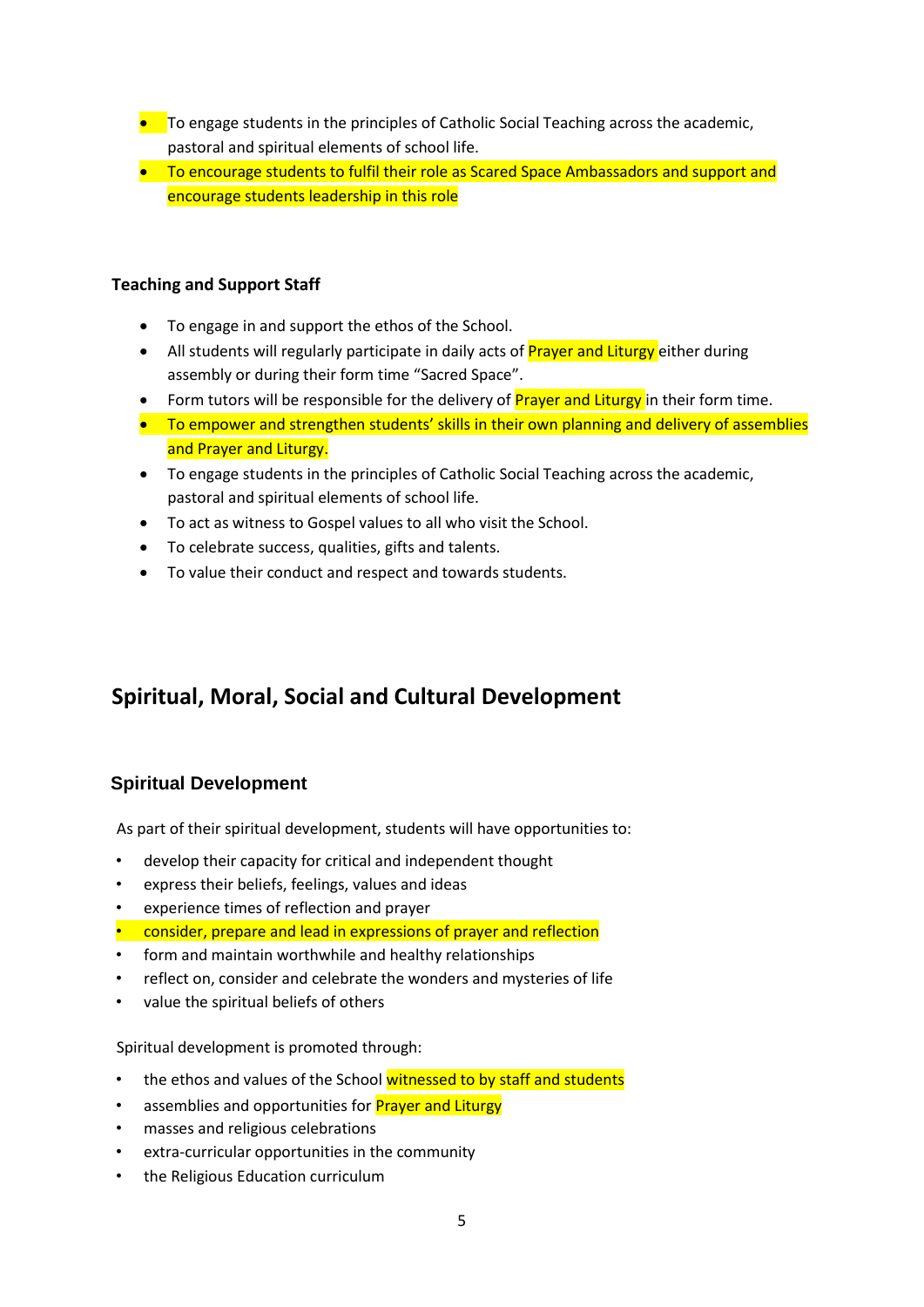- **•** To engage students in the principles of Catholic Social Teaching across the academic, pastoral and spiritual elements of school life.
- To encourage students to fulfil their role as Scared Space Ambassadors and support and encourage students leadership in this role

#### **Teaching and Support Staff**

- To engage in and support the ethos of the School.
- All students will regularly participate in daily acts of **Prayer and Liturgy** either during assembly or during their form time "Sacred Space".
- Form tutors will be responsible for the delivery of **Prayer and Liturgy** in their form time.
- To empower and strengthen students' skills in their own planning and delivery of assemblies and Prayer and Liturgy.
- To engage students in the principles of Catholic Social Teaching across the academic, pastoral and spiritual elements of school life.
- To act as witness to Gospel values to all who visit the School.
- To celebrate success, qualities, gifts and talents.
- To value their conduct and respect and towards students.

## **Spiritual, Moral, Social and Cultural Development**

#### **Spiritual Development**

As part of their spiritual development, students will have opportunities to:

- develop their capacity for critical and independent thought
- express their beliefs, feelings, values and ideas
- experience times of reflection and prayer
- consider, prepare and lead in expressions of prayer and reflection
- form and maintain worthwhile and healthy relationships
- reflect on, consider and celebrate the wonders and mysteries of life
- value the spiritual beliefs of others

Spiritual development is promoted through:

- the ethos and values of the School witnessed to by staff and students
- assemblies and opportunities for **Prayer and Liturgy**
- masses and religious celebrations
- extra-curricular opportunities in the community
- the Religious Education curriculum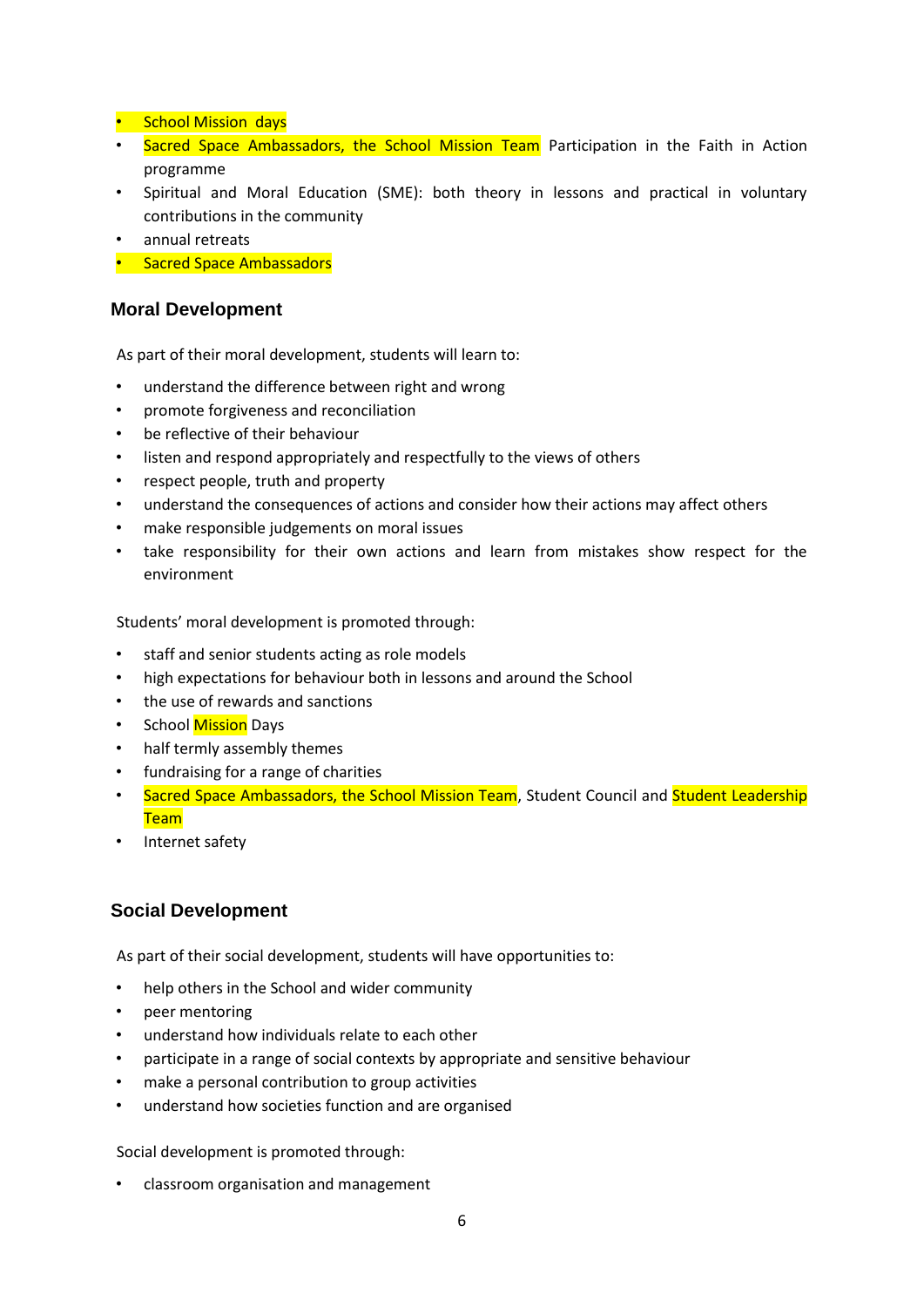- School Mission days
- Sacred Space Ambassadors, the School Mission Team Participation in the Faith in Action programme
- Spiritual and Moral Education (SME): both theory in lessons and practical in voluntary contributions in the community
- annual retreats
- Sacred Space Ambassadors

#### **Moral Development**

As part of their moral development, students will learn to:

- understand the difference between right and wrong
- promote forgiveness and reconciliation
- be reflective of their behaviour
- listen and respond appropriately and respectfully to the views of others
- respect people, truth and property
- understand the consequences of actions and consider how their actions may affect others
- make responsible judgements on moral issues
- take responsibility for their own actions and learn from mistakes show respect for the environment

Students' moral development is promoted through:

- staff and senior students acting as role models
- high expectations for behaviour both in lessons and around the School
- the use of rewards and sanctions
- School Mission Days
- half termly assembly themes
- fundraising for a range of charities
- Sacred Space Ambassadors, the School Mission Team, Student Council and Student Leadership **Team**
- Internet safety

#### **Social Development**

As part of their social development, students will have opportunities to:

- help others in the School and wider community
- peer mentoring
- understand how individuals relate to each other
- participate in a range of social contexts by appropriate and sensitive behaviour
- make a personal contribution to group activities
- understand how societies function and are organised

Social development is promoted through:

• classroom organisation and management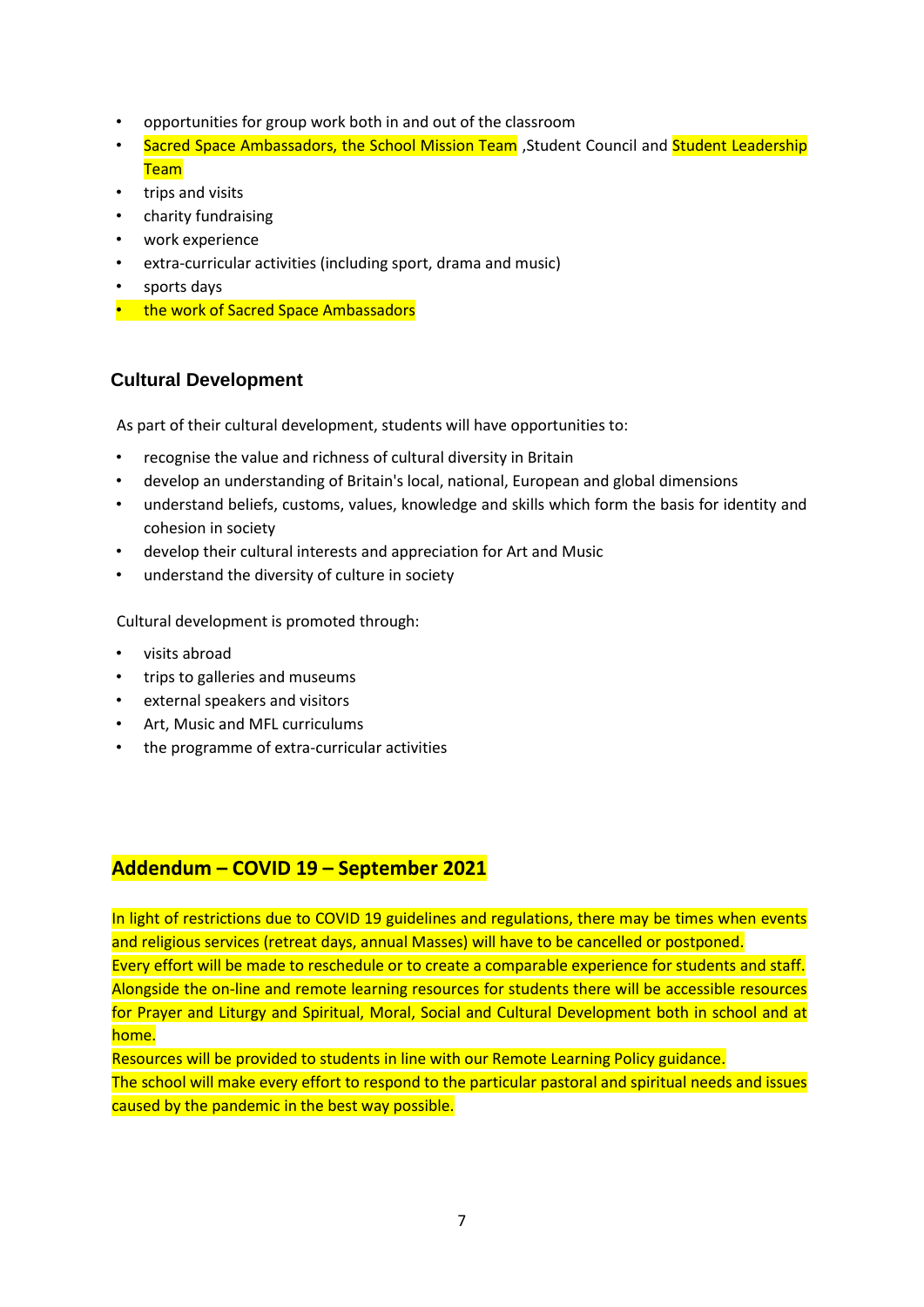- opportunities for group work both in and out of the classroom
- Sacred Space Ambassadors, the School Mission Team , Student Council and Student Leadership **Team**
- trips and visits
- charity fundraising
- work experience
- extra-curricular activities (including sport, drama and music)
- sports days
- the work of Sacred Space Ambassadors

#### **Cultural Development**

As part of their cultural development, students will have opportunities to:

- recognise the value and richness of cultural diversity in Britain
- develop an understanding of Britain's local, national, European and global dimensions
- understand beliefs, customs, values, knowledge and skills which form the basis for identity and cohesion in society
- develop their cultural interests and appreciation for Art and Music
- understand the diversity of culture in society

Cultural development is promoted through:

- visits abroad
- trips to galleries and museums
- external speakers and visitors
- Art, Music and MFL curriculums
- the programme of extra-curricular activities

#### **Addendum – COVID 19 – September 2021**

In light of restrictions due to COVID 19 guidelines and regulations, there may be times when events and religious services (retreat days, annual Masses) will have to be cancelled or postponed. Every effort will be made to reschedule or to create a comparable experience for students and staff. Alongside the on-line and remote learning resources for students there will be accessible resources for Prayer and Liturgy and Spiritual, Moral, Social and Cultural Development both in school and at home.

Resources will be provided to students in line with our Remote Learning Policy guidance. The school will make every effort to respond to the particular pastoral and spiritual needs and issues caused by the pandemic in the best way possible.